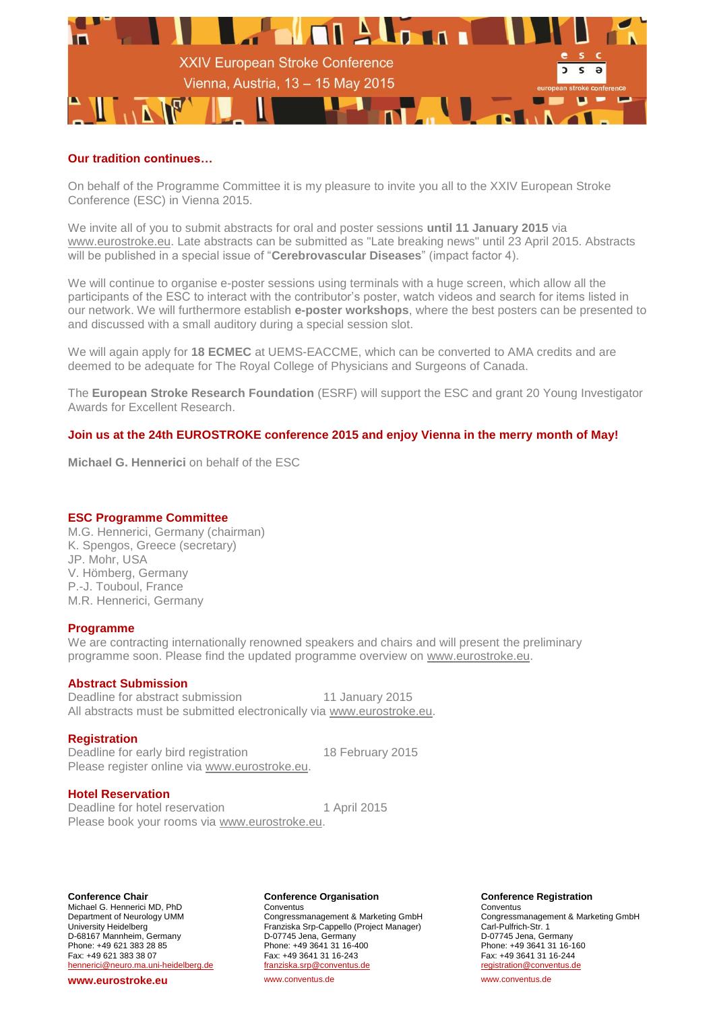

# **Our tradition continues…**

On behalf of the Programme Committee it is my pleasure to invite you all to the XXIV European Stroke Conference (ESC) in Vienna 2015.

We invite all of you to submit abstracts for oral and poster sessions **until 11 January 2015** via [www.eurostroke.eu.](http://www.eurostroke.eu/) Late abstracts can be submitted as "Late breaking news" until 23 April 2015. Abstracts will be published in a special issue of "**Cerebrovascular Diseases**" (impact factor 4).

We will continue to organise e-poster sessions using terminals with a huge screen, which allow all the participants of the ESC to interact with the contributor's poster, watch videos and search for items listed in our network. We will furthermore establish **e-poster workshops**, where the best posters can be presented to and discussed with a small auditory during a special session slot.

We will again apply for **18 ECMEC** at UEMS-EACCME, which can be converted to AMA credits and are deemed to be adequate for The Royal College of Physicians and Surgeons of Canada.

The **European Stroke Research Foundation** (ESRF) will support the ESC and grant 20 Young Investigator Awards for Excellent Research.

# **Join us at the 24th EUROSTROKE conference 2015 and enjoy Vienna in the merry month of May!**

**Michael G. Hennerici** on behalf of the ESC

## **ESC Programme Committee**

M.G. Hennerici, Germany (chairman) K. Spengos, Greece (secretary) JP. Mohr, USA V. Hömberg, Germany P.-J. Touboul, France M.R. Hennerici, Germany

## **Programme**

We are contracting internationally renowned speakers and chairs and will present the preliminary programme soon. Please find the updated programme overview on [www.eurostroke.eu.](http://www.eurostroke.eu/)

## **Abstract Submission**

Deadline for abstract submission 11 January 2015 All abstracts must be submitted electronically via [www.eurostroke.eu.](http://www.eurostroke.eu/)

## **Registration**

Deadline for early bird registration 18 February 2015 Please register online via [www.eurostroke.eu.](http://www.eurostroke.eu/)

## **Hotel Reservation**

Deadline for hotel reservation 1 April 2015 Please book your rooms via [www.eurostroke.eu.](http://www.eurostroke.eu/)

**Conference Chair** Michael G. Hennerici MD, PhD Department of Neurology UMM University Heidelberg D-68167 Mannheim, Germany Phone: +49 621 383 28 85 Fax: +49 621 383 38 07 hennerici@neuro.ma.uni-heidelberg.de

#### **www.eurostroke.eu**

#### **Conference Organisation**

Conventus Congressmanagement & Marketing GmbH Franziska Srp-Cappello (Project Manager) D-07745 Jena, Germany Phone: +49 3641 31 16-400 Fax: +49 3641 31 16-243 franziska.srp@conventus.de www.conventus.de

#### **Conference Registration**

**Conventus** Congressmanagement & Marketing GmbH Carl-Pulfrich-Str. 1 D-07745 Jena, Germany Phone: +49 3641 31 16-160 Fax: +49 3641 31 16-244 registration@conventus.de www.conventus.de